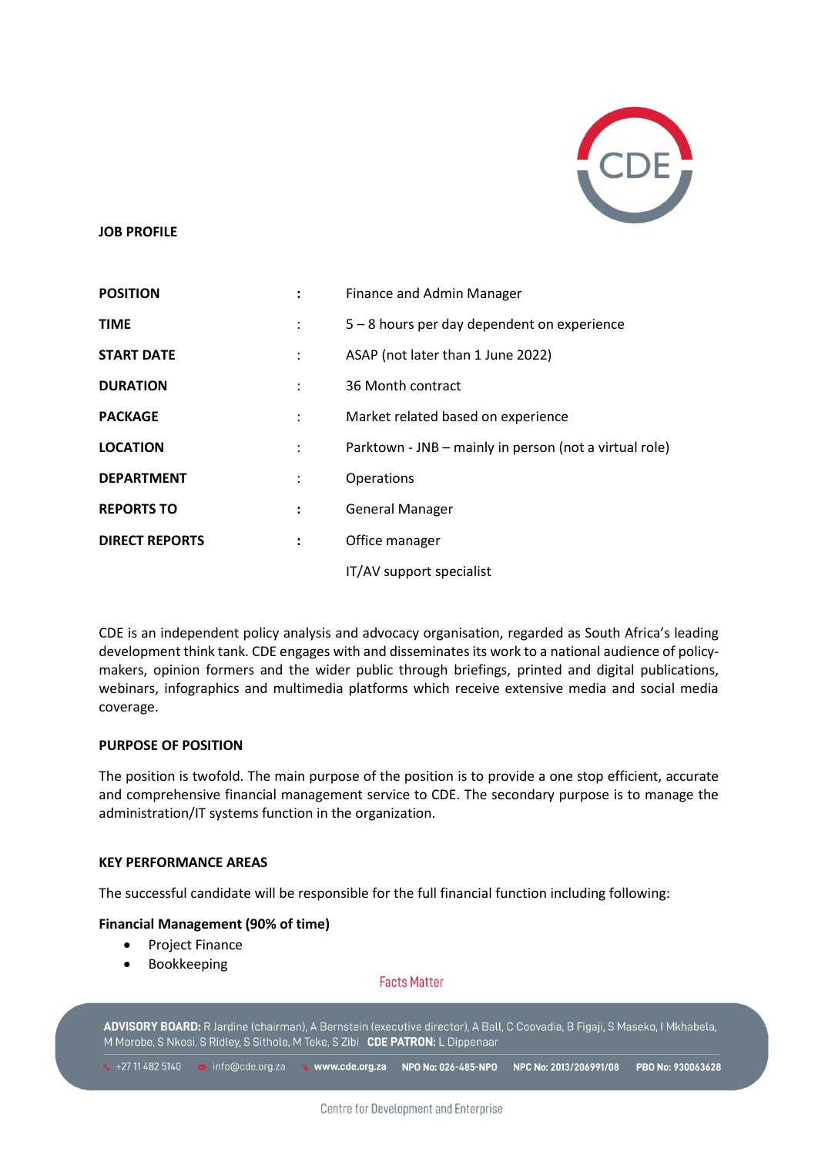

#### **JOB PROFILE**

| <b>POSITION</b>       |                      | Finance and Admin Manager                              |
|-----------------------|----------------------|--------------------------------------------------------|
| <b>TIME</b>           |                      | 5 – 8 hours per day dependent on experience            |
| <b>START DATE</b>     | $\ddot{\phantom{a}}$ | ASAP (not later than 1 June 2022)                      |
| <b>DURATION</b>       |                      | 36 Month contract                                      |
| <b>PACKAGE</b>        | $\ddot{\phantom{a}}$ | Market related based on experience                     |
| <b>LOCATION</b>       | $\ddot{\phantom{a}}$ | Parktown - JNB - mainly in person (not a virtual role) |
| <b>DEPARTMENT</b>     |                      | Operations                                             |
| <b>REPORTS TO</b>     | ÷                    | <b>General Manager</b>                                 |
| <b>DIRECT REPORTS</b> | $\ddot{\phantom{a}}$ | Office manager                                         |
|                       |                      | IT/AV support specialist                               |

CDE is an independent policy analysis and advocacy organisation, regarded as South Africa's leading development think tank. CDE engages with and disseminates its work to a national audience of policymakers, opinion formers and the wider public through briefings, printed and digital publications, webinars, infographics and multimedia platforms which receive extensive media and social media coverage.

### **PURPOSE OF POSITION**

The position is twofold. The main purpose of the position is to provide a one stop efficient, accurate and comprehensive financial management service to CDE. The secondary purpose is to manage the administration/IT systems function in the organization.

#### **KEY PERFORMANCE AREAS**

The successful candidate will be responsible for the full financial function including following:

## **Financial Management (90% of time)**

- Project Finance
- Bookkeeping

### **Facts Matter**

ADVISORY BOARD: R Jardine (chairman), A Bernstein (executive director), A Ball, C Coovadia, B Figaji, S Maseko, I Mkhabela, M Morobe, S Nkosi, S Ridley, S Sithole, M Teke, S Zibi CDE PATRON: L Dippenaar

↓ +27 11 482 5140 B info@cde.org.za \* www.cde.org.za NPO No: 026-485-NPO NPC No: 2013/206991/08 PBO No: 930063628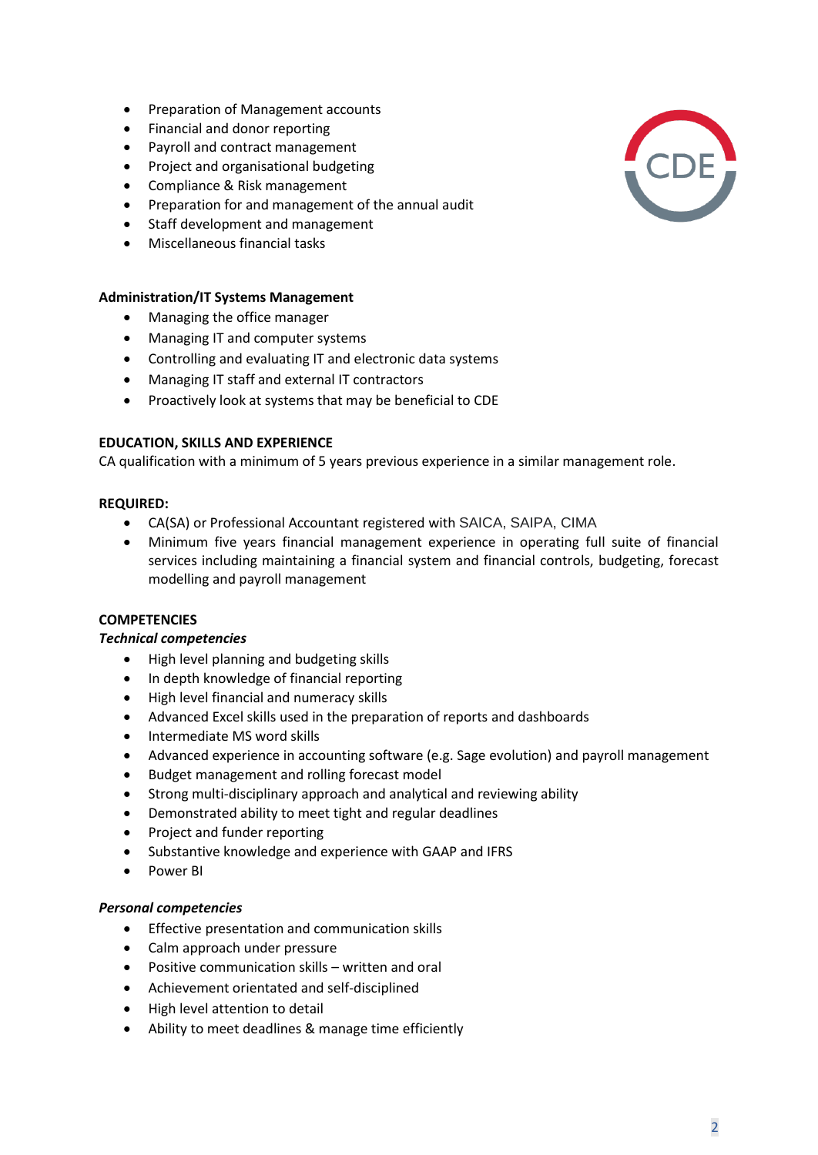- Preparation of Management accounts
- Financial and donor reporting
- Payroll and contract management
- Project and organisational budgeting
- Compliance & Risk management
- Preparation for and management of the annual audit
- Staff development and management
- Miscellaneous financial tasks

# **Administration/IT Systems Management**

- Managing the office manager
- Managing IT and computer systems
- Controlling and evaluating IT and electronic data systems
- Managing IT staff and external IT contractors
- Proactively look at systems that may be beneficial to CDE

## **EDUCATION, SKILLS AND EXPERIENCE**

CA qualification with a minimum of 5 years previous experience in a similar management role.

## **REQUIRED:**

- CA(SA) or Professional Accountant registered with SAICA, SAIPA, CIMA
- Minimum five years financial management experience in operating full suite of financial services including maintaining a financial system and financial controls, budgeting, forecast modelling and payroll management

### **COMPETENCIES**

### *Technical competencies*

- High level planning and budgeting skills
- In depth knowledge of financial reporting
- High level financial and numeracy skills
- Advanced Excel skills used in the preparation of reports and dashboards
- Intermediate MS word skills
- Advanced experience in accounting software (e.g. Sage evolution) and payroll management
- Budget management and rolling forecast model
- Strong multi-disciplinary approach and analytical and reviewing ability
- Demonstrated ability to meet tight and regular deadlines
- Project and funder reporting
- Substantive knowledge and experience with GAAP and IFRS
- Power BI

### *Personal competencies*

- Effective presentation and communication skills
- Calm approach under pressure
- Positive communication skills written and oral
- Achievement orientated and self-disciplined
- High level attention to detail
- Ability to meet deadlines & manage time efficiently